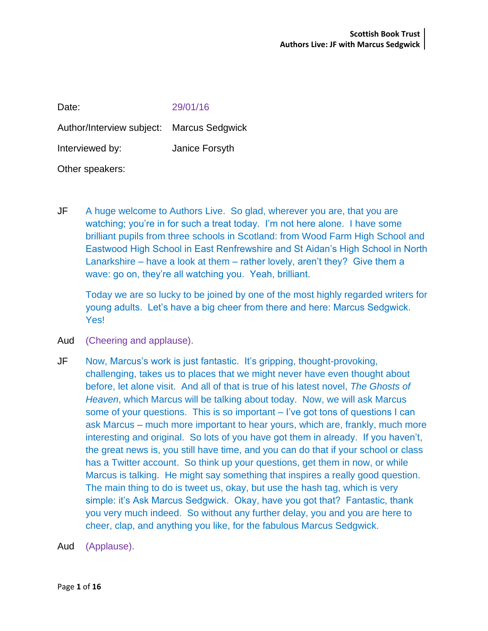| Date:                                     | 29/01/16       |
|-------------------------------------------|----------------|
| Author/Interview subject: Marcus Sedgwick |                |
| Interviewed by:                           | Janice Forsyth |
| Other speakers:                           |                |

JF A huge welcome to Authors Live. So glad, wherever you are, that you are watching; you're in for such a treat today. I'm not here alone. I have some brilliant pupils from three schools in Scotland: from Wood Farm High School and Eastwood High School in East Renfrewshire and St Aidan's High School in North Lanarkshire – have a look at them – rather lovely, aren't they? Give them a wave: go on, they're all watching you. Yeah, brilliant.

Today we are so lucky to be joined by one of the most highly regarded writers for young adults. Let's have a big cheer from there and here: Marcus Sedgwick. Yes!

- Aud (Cheering and applause).
- JF Now, Marcus's work is just fantastic. It's gripping, thought-provoking, challenging, takes us to places that we might never have even thought about before, let alone visit. And all of that is true of his latest novel, *The Ghosts of Heaven*, which Marcus will be talking about today. Now, we will ask Marcus some of your questions. This is so important – I've got tons of questions I can ask Marcus – much more important to hear yours, which are, frankly, much more interesting and original. So lots of you have got them in already. If you haven't, the great news is, you still have time, and you can do that if your school or class has a Twitter account. So think up your questions, get them in now, or while Marcus is talking. He might say something that inspires a really good question. The main thing to do is tweet us, okay, but use the hash tag, which is very simple: it's Ask Marcus Sedgwick. Okay, have you got that? Fantastic, thank you very much indeed. So without any further delay, you and you are here to cheer, clap, and anything you like, for the fabulous Marcus Sedgwick.
- Aud (Applause).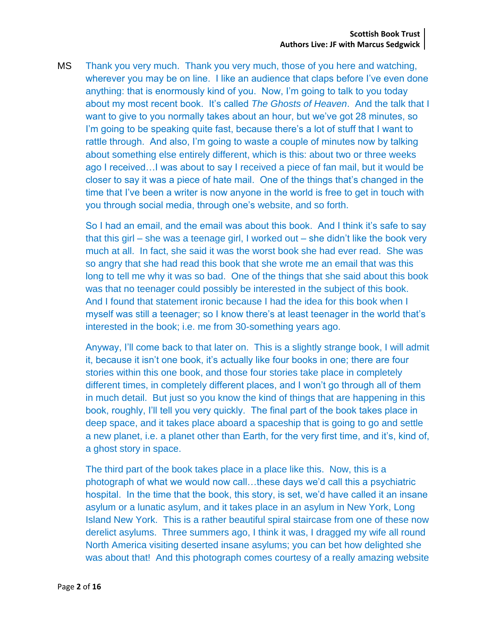MS Thank you very much. Thank you very much, those of you here and watching, wherever you may be on line. I like an audience that claps before I've even done anything: that is enormously kind of you. Now, I'm going to talk to you today about my most recent book. It's called *The Ghosts of Heaven*. And the talk that I want to give to you normally takes about an hour, but we've got 28 minutes, so I'm going to be speaking quite fast, because there's a lot of stuff that I want to rattle through. And also, I'm going to waste a couple of minutes now by talking about something else entirely different, which is this: about two or three weeks ago I received…I was about to say I received a piece of fan mail, but it would be closer to say it was a piece of hate mail. One of the things that's changed in the time that I've been a writer is now anyone in the world is free to get in touch with you through social media, through one's website, and so forth.

So I had an email, and the email was about this book. And I think it's safe to say that this girl – she was a teenage girl, I worked out – she didn't like the book very much at all. In fact, she said it was the worst book she had ever read. She was so angry that she had read this book that she wrote me an email that was this long to tell me why it was so bad. One of the things that she said about this book was that no teenager could possibly be interested in the subject of this book. And I found that statement ironic because I had the idea for this book when I myself was still a teenager; so I know there's at least teenager in the world that's interested in the book; i.e. me from 30-something years ago.

Anyway, I'll come back to that later on. This is a slightly strange book, I will admit it, because it isn't one book, it's actually like four books in one; there are four stories within this one book, and those four stories take place in completely different times, in completely different places, and I won't go through all of them in much detail. But just so you know the kind of things that are happening in this book, roughly, I'll tell you very quickly. The final part of the book takes place in deep space, and it takes place aboard a spaceship that is going to go and settle a new planet, i.e. a planet other than Earth, for the very first time, and it's, kind of, a ghost story in space.

The third part of the book takes place in a place like this. Now, this is a photograph of what we would now call…these days we'd call this a psychiatric hospital. In the time that the book, this story, is set, we'd have called it an insane asylum or a lunatic asylum, and it takes place in an asylum in New York, Long Island New York. This is a rather beautiful spiral staircase from one of these now derelict asylums. Three summers ago, I think it was, I dragged my wife all round North America visiting deserted insane asylums; you can bet how delighted she was about that! And this photograph comes courtesy of a really amazing website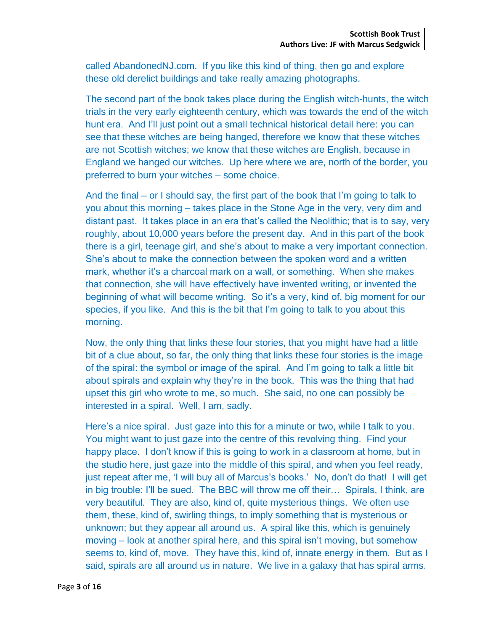called AbandonedNJ.com. If you like this kind of thing, then go and explore these old derelict buildings and take really amazing photographs.

The second part of the book takes place during the English witch-hunts, the witch trials in the very early eighteenth century, which was towards the end of the witch hunt era. And I'll just point out a small technical historical detail here: you can see that these witches are being hanged, therefore we know that these witches are not Scottish witches; we know that these witches are English, because in England we hanged our witches. Up here where we are, north of the border, you preferred to burn your witches – some choice.

And the final – or I should say, the first part of the book that I'm going to talk to you about this morning – takes place in the Stone Age in the very, very dim and distant past. It takes place in an era that's called the Neolithic; that is to say, very roughly, about 10,000 years before the present day. And in this part of the book there is a girl, teenage girl, and she's about to make a very important connection. She's about to make the connection between the spoken word and a written mark, whether it's a charcoal mark on a wall, or something. When she makes that connection, she will have effectively have invented writing, or invented the beginning of what will become writing. So it's a very, kind of, big moment for our species, if you like. And this is the bit that I'm going to talk to you about this morning.

Now, the only thing that links these four stories, that you might have had a little bit of a clue about, so far, the only thing that links these four stories is the image of the spiral: the symbol or image of the spiral. And I'm going to talk a little bit about spirals and explain why they're in the book. This was the thing that had upset this girl who wrote to me, so much. She said, no one can possibly be interested in a spiral. Well, I am, sadly.

Here's a nice spiral. Just gaze into this for a minute or two, while I talk to you. You might want to just gaze into the centre of this revolving thing. Find your happy place. I don't know if this is going to work in a classroom at home, but in the studio here, just gaze into the middle of this spiral, and when you feel ready, just repeat after me, 'I will buy all of Marcus's books.' No, don't do that! I will get in big trouble: I'll be sued. The BBC will throw me off their… Spirals, I think, are very beautiful. They are also, kind of, quite mysterious things. We often use them, these, kind of, swirling things, to imply something that is mysterious or unknown; but they appear all around us. A spiral like this, which is genuinely moving – look at another spiral here, and this spiral isn't moving, but somehow seems to, kind of, move. They have this, kind of, innate energy in them. But as I said, spirals are all around us in nature. We live in a galaxy that has spiral arms.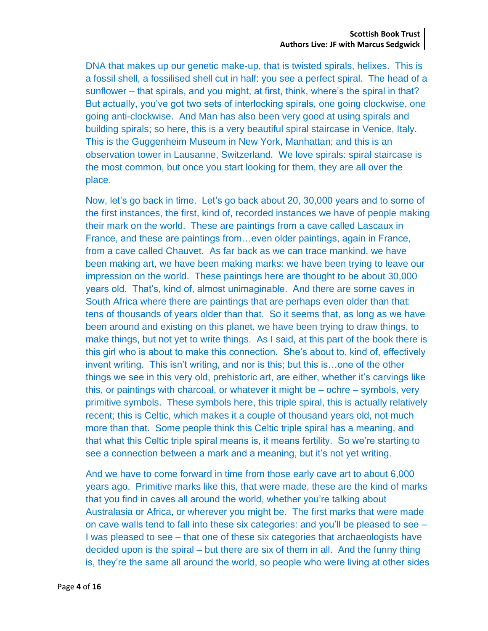DNA that makes up our genetic make-up, that is twisted spirals, helixes. This is a fossil shell, a fossilised shell cut in half: you see a perfect spiral. The head of a sunflower – that spirals, and you might, at first, think, where's the spiral in that? But actually, you've got two sets of interlocking spirals, one going clockwise, one going anti-clockwise. And Man has also been very good at using spirals and building spirals; so here, this is a very beautiful spiral staircase in Venice, Italy. This is the Guggenheim Museum in New York, Manhattan; and this is an observation tower in Lausanne, Switzerland. We love spirals: spiral staircase is the most common, but once you start looking for them, they are all over the place.

Now, let's go back in time. Let's go back about 20, 30,000 years and to some of the first instances, the first, kind of, recorded instances we have of people making their mark on the world. These are paintings from a cave called Lascaux in France, and these are paintings from…even older paintings, again in France, from a cave called Chauvet. As far back as we can trace mankind, we have been making art, we have been making marks: we have been trying to leave our impression on the world. These paintings here are thought to be about 30,000 years old. That's, kind of, almost unimaginable. And there are some caves in South Africa where there are paintings that are perhaps even older than that: tens of thousands of years older than that. So it seems that, as long as we have been around and existing on this planet, we have been trying to draw things, to make things, but not yet to write things. As I said, at this part of the book there is this girl who is about to make this connection. She's about to, kind of, effectively invent writing. This isn't writing, and nor is this; but this is…one of the other things we see in this very old, prehistoric art, are either, whether it's carvings like this, or paintings with charcoal, or whatever it might be – ochre – symbols, very primitive symbols. These symbols here, this triple spiral, this is actually relatively recent; this is Celtic, which makes it a couple of thousand years old, not much more than that. Some people think this Celtic triple spiral has a meaning, and that what this Celtic triple spiral means is, it means fertility. So we're starting to see a connection between a mark and a meaning, but it's not yet writing.

And we have to come forward in time from those early cave art to about 6,000 years ago. Primitive marks like this, that were made, these are the kind of marks that you find in caves all around the world, whether you're talking about Australasia or Africa, or wherever you might be. The first marks that were made on cave walls tend to fall into these six categories: and you'll be pleased to see – I was pleased to see – that one of these six categories that archaeologists have decided upon is the spiral – but there are six of them in all. And the funny thing is, they're the same all around the world, so people who were living at other sides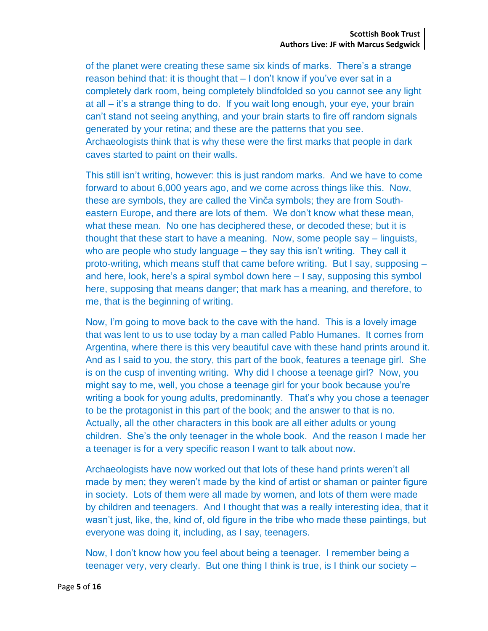of the planet were creating these same six kinds of marks. There's a strange reason behind that: it is thought that – I don't know if you've ever sat in a completely dark room, being completely blindfolded so you cannot see any light at all – it's a strange thing to do. If you wait long enough, your eye, your brain can't stand not seeing anything, and your brain starts to fire off random signals generated by your retina; and these are the patterns that you see. Archaeologists think that is why these were the first marks that people in dark caves started to paint on their walls.

This still isn't writing, however: this is just random marks. And we have to come forward to about 6,000 years ago, and we come across things like this. Now, these are symbols, they are called the Vinča symbols; they are from Southeastern Europe, and there are lots of them. We don't know what these mean, what these mean. No one has deciphered these, or decoded these; but it is thought that these start to have a meaning. Now, some people say – linguists, who are people who study language – they say this isn't writing. They call it proto-writing, which means stuff that came before writing. But I say, supposing – and here, look, here's a spiral symbol down here – I say, supposing this symbol here, supposing that means danger; that mark has a meaning, and therefore, to me, that is the beginning of writing.

Now, I'm going to move back to the cave with the hand. This is a lovely image that was lent to us to use today by a man called Pablo Humanes. It comes from Argentina, where there is this very beautiful cave with these hand prints around it. And as I said to you, the story, this part of the book, features a teenage girl. She is on the cusp of inventing writing. Why did I choose a teenage girl? Now, you might say to me, well, you chose a teenage girl for your book because you're writing a book for young adults, predominantly. That's why you chose a teenager to be the protagonist in this part of the book; and the answer to that is no. Actually, all the other characters in this book are all either adults or young children. She's the only teenager in the whole book. And the reason I made her a teenager is for a very specific reason I want to talk about now.

Archaeologists have now worked out that lots of these hand prints weren't all made by men; they weren't made by the kind of artist or shaman or painter figure in society. Lots of them were all made by women, and lots of them were made by children and teenagers. And I thought that was a really interesting idea, that it wasn't just, like, the, kind of, old figure in the tribe who made these paintings, but everyone was doing it, including, as I say, teenagers.

Now, I don't know how you feel about being a teenager. I remember being a teenager very, very clearly. But one thing I think is true, is I think our society –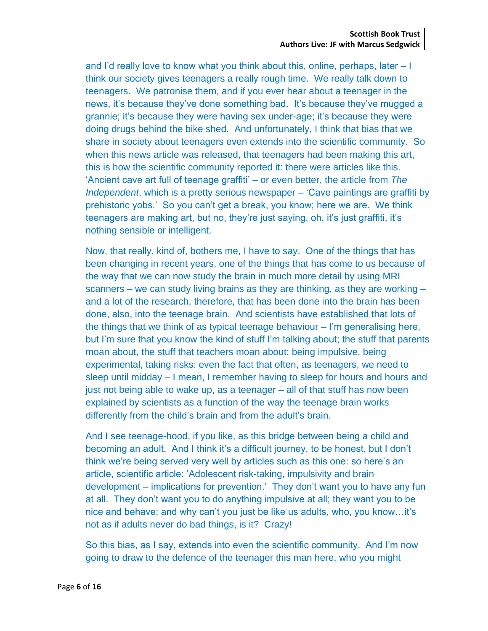and I'd really love to know what you think about this, online, perhaps, later – I think our society gives teenagers a really rough time. We really talk down to teenagers. We patronise them, and if you ever hear about a teenager in the news, it's because they've done something bad. It's because they've mugged a grannie; it's because they were having sex under-age; it's because they were doing drugs behind the bike shed. And unfortunately, I think that bias that we share in society about teenagers even extends into the scientific community. So when this news article was released, that teenagers had been making this art, this is how the scientific community reported it: there were articles like this. 'Ancient cave art full of teenage graffiti' – or even better, the article from *The Independent*, which is a pretty serious newspaper – 'Cave paintings are graffiti by prehistoric yobs.' So you can't get a break, you know; here we are. We think teenagers are making art, but no, they're just saying, oh, it's just graffiti, it's nothing sensible or intelligent.

Now, that really, kind of, bothers me, I have to say. One of the things that has been changing in recent years, one of the things that has come to us because of the way that we can now study the brain in much more detail by using MRI scanners – we can study living brains as they are thinking, as they are working – and a lot of the research, therefore, that has been done into the brain has been done, also, into the teenage brain. And scientists have established that lots of the things that we think of as typical teenage behaviour – I'm generalising here, but I'm sure that you know the kind of stuff I'm talking about; the stuff that parents moan about, the stuff that teachers moan about: being impulsive, being experimental, taking risks: even the fact that often, as teenagers, we need to sleep until midday – I mean, I remember having to sleep for hours and hours and just not being able to wake up, as a teenager – all of that stuff has now been explained by scientists as a function of the way the teenage brain works differently from the child's brain and from the adult's brain.

And I see teenage-hood, if you like, as this bridge between being a child and becoming an adult. And I think it's a difficult journey, to be honest, but I don't think we're being served very well by articles such as this one: so here's an article, scientific article: 'Adolescent risk-taking, impulsivity and brain development – implications for prevention.' They don't want you to have any fun at all. They don't want you to do anything impulsive at all; they want you to be nice and behave; and why can't you just be like us adults, who, you know…it's not as if adults never do bad things, is it? Crazy!

So this bias, as I say, extends into even the scientific community. And I'm now going to draw to the defence of the teenager this man here, who you might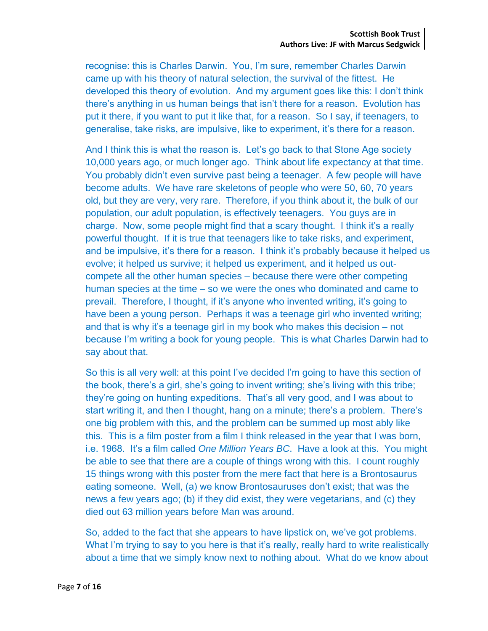recognise: this is Charles Darwin. You, I'm sure, remember Charles Darwin came up with his theory of natural selection, the survival of the fittest. He developed this theory of evolution. And my argument goes like this: I don't think there's anything in us human beings that isn't there for a reason. Evolution has put it there, if you want to put it like that, for a reason. So I say, if teenagers, to generalise, take risks, are impulsive, like to experiment, it's there for a reason.

And I think this is what the reason is. Let's go back to that Stone Age society 10,000 years ago, or much longer ago. Think about life expectancy at that time. You probably didn't even survive past being a teenager. A few people will have become adults. We have rare skeletons of people who were 50, 60, 70 years old, but they are very, very rare. Therefore, if you think about it, the bulk of our population, our adult population, is effectively teenagers. You guys are in charge. Now, some people might find that a scary thought. I think it's a really powerful thought. If it is true that teenagers like to take risks, and experiment, and be impulsive, it's there for a reason. I think it's probably because it helped us evolve; it helped us survive; it helped us experiment, and it helped us outcompete all the other human species – because there were other competing human species at the time – so we were the ones who dominated and came to prevail. Therefore, I thought, if it's anyone who invented writing, it's going to have been a young person. Perhaps it was a teenage girl who invented writing; and that is why it's a teenage girl in my book who makes this decision – not because I'm writing a book for young people. This is what Charles Darwin had to say about that.

So this is all very well: at this point I've decided I'm going to have this section of the book, there's a girl, she's going to invent writing; she's living with this tribe; they're going on hunting expeditions. That's all very good, and I was about to start writing it, and then I thought, hang on a minute; there's a problem. There's one big problem with this, and the problem can be summed up most ably like this. This is a film poster from a film I think released in the year that I was born, i.e. 1968. It's a film called *One Million Years BC*. Have a look at this. You might be able to see that there are a couple of things wrong with this. I count roughly 15 things wrong with this poster from the mere fact that here is a Brontosaurus eating someone. Well, (a) we know Brontosauruses don't exist; that was the news a few years ago; (b) if they did exist, they were vegetarians, and (c) they died out 63 million years before Man was around.

So, added to the fact that she appears to have lipstick on, we've got problems. What I'm trying to say to you here is that it's really, really hard to write realistically about a time that we simply know next to nothing about. What do we know about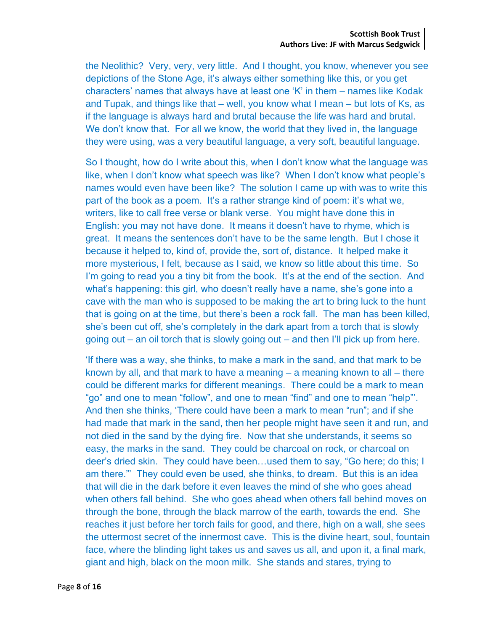the Neolithic? Very, very, very little. And I thought, you know, whenever you see depictions of the Stone Age, it's always either something like this, or you get characters' names that always have at least one 'K' in them – names like Kodak and Tupak, and things like that – well, you know what I mean – but lots of Ks, as if the language is always hard and brutal because the life was hard and brutal. We don't know that. For all we know, the world that they lived in, the language they were using, was a very beautiful language, a very soft, beautiful language.

So I thought, how do I write about this, when I don't know what the language was like, when I don't know what speech was like? When I don't know what people's names would even have been like? The solution I came up with was to write this part of the book as a poem. It's a rather strange kind of poem: it's what we, writers, like to call free verse or blank verse. You might have done this in English: you may not have done. It means it doesn't have to rhyme, which is great. It means the sentences don't have to be the same length. But I chose it because it helped to, kind of, provide the, sort of, distance. It helped make it more mysterious, I felt, because as I said, we know so little about this time. So I'm going to read you a tiny bit from the book. It's at the end of the section. And what's happening: this girl, who doesn't really have a name, she's gone into a cave with the man who is supposed to be making the art to bring luck to the hunt that is going on at the time, but there's been a rock fall. The man has been killed, she's been cut off, she's completely in the dark apart from a torch that is slowly going out – an oil torch that is slowly going out – and then I'll pick up from here.

'If there was a way, she thinks, to make a mark in the sand, and that mark to be known by all, and that mark to have a meaning – a meaning known to all – there could be different marks for different meanings. There could be a mark to mean "go" and one to mean "follow", and one to mean "find" and one to mean "help"'. And then she thinks, 'There could have been a mark to mean "run"; and if she had made that mark in the sand, then her people might have seen it and run, and not died in the sand by the dying fire. Now that she understands, it seems so easy, the marks in the sand. They could be charcoal on rock, or charcoal on deer's dried skin. They could have been…used them to say, "Go here; do this; I am there."' They could even be used, she thinks, to dream. But this is an idea that will die in the dark before it even leaves the mind of she who goes ahead when others fall behind. She who goes ahead when others fall behind moves on through the bone, through the black marrow of the earth, towards the end. She reaches it just before her torch fails for good, and there, high on a wall, she sees the uttermost secret of the innermost cave. This is the divine heart, soul, fountain face, where the blinding light takes us and saves us all, and upon it, a final mark, giant and high, black on the moon milk. She stands and stares, trying to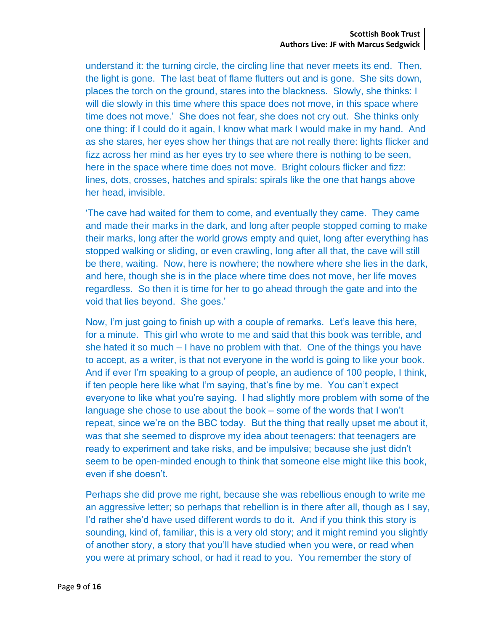understand it: the turning circle, the circling line that never meets its end. Then, the light is gone. The last beat of flame flutters out and is gone. She sits down, places the torch on the ground, stares into the blackness. Slowly, she thinks: I will die slowly in this time where this space does not move, in this space where time does not move.' She does not fear, she does not cry out. She thinks only one thing: if I could do it again, I know what mark I would make in my hand. And as she stares, her eyes show her things that are not really there: lights flicker and fizz across her mind as her eyes try to see where there is nothing to be seen, here in the space where time does not move. Bright colours flicker and fizz: lines, dots, crosses, hatches and spirals: spirals like the one that hangs above her head, invisible.

'The cave had waited for them to come, and eventually they came. They came and made their marks in the dark, and long after people stopped coming to make their marks, long after the world grows empty and quiet, long after everything has stopped walking or sliding, or even crawling, long after all that, the cave will still be there, waiting. Now, here is nowhere; the nowhere where she lies in the dark, and here, though she is in the place where time does not move, her life moves regardless. So then it is time for her to go ahead through the gate and into the void that lies beyond. She goes.'

Now, I'm just going to finish up with a couple of remarks. Let's leave this here, for a minute. This girl who wrote to me and said that this book was terrible, and she hated it so much – I have no problem with that. One of the things you have to accept, as a writer, is that not everyone in the world is going to like your book. And if ever I'm speaking to a group of people, an audience of 100 people, I think, if ten people here like what I'm saying, that's fine by me. You can't expect everyone to like what you're saying. I had slightly more problem with some of the language she chose to use about the book – some of the words that I won't repeat, since we're on the BBC today. But the thing that really upset me about it, was that she seemed to disprove my idea about teenagers: that teenagers are ready to experiment and take risks, and be impulsive; because she just didn't seem to be open-minded enough to think that someone else might like this book, even if she doesn't.

Perhaps she did prove me right, because she was rebellious enough to write me an aggressive letter; so perhaps that rebellion is in there after all, though as I say, I'd rather she'd have used different words to do it. And if you think this story is sounding, kind of, familiar, this is a very old story; and it might remind you slightly of another story, a story that you'll have studied when you were, or read when you were at primary school, or had it read to you. You remember the story of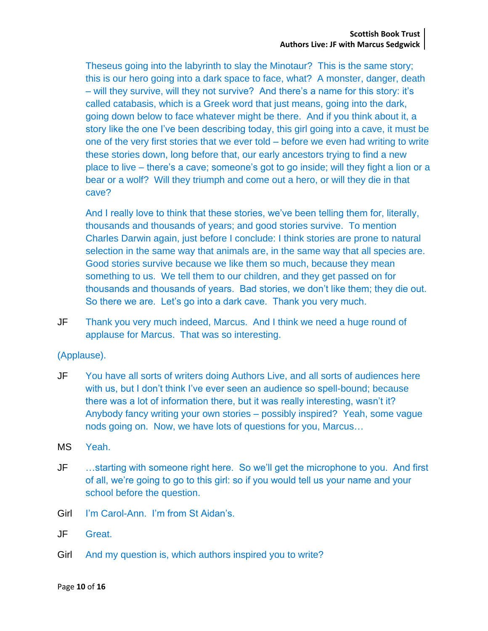Theseus going into the labyrinth to slay the Minotaur? This is the same story; this is our hero going into a dark space to face, what? A monster, danger, death – will they survive, will they not survive? And there's a name for this story: it's called catabasis, which is a Greek word that just means, going into the dark, going down below to face whatever might be there. And if you think about it, a story like the one I've been describing today, this girl going into a cave, it must be one of the very first stories that we ever told – before we even had writing to write these stories down, long before that, our early ancestors trying to find a new place to live – there's a cave; someone's got to go inside; will they fight a lion or a bear or a wolf? Will they triumph and come out a hero, or will they die in that cave?

And I really love to think that these stories, we've been telling them for, literally, thousands and thousands of years; and good stories survive. To mention Charles Darwin again, just before I conclude: I think stories are prone to natural selection in the same way that animals are, in the same way that all species are. Good stories survive because we like them so much, because they mean something to us. We tell them to our children, and they get passed on for thousands and thousands of years. Bad stories, we don't like them; they die out. So there we are. Let's go into a dark cave. Thank you very much.

JF Thank you very much indeed, Marcus. And I think we need a huge round of applause for Marcus. That was so interesting.

(Applause).

- JF You have all sorts of writers doing Authors Live, and all sorts of audiences here with us, but I don't think I've ever seen an audience so spell-bound; because there was a lot of information there, but it was really interesting, wasn't it? Anybody fancy writing your own stories – possibly inspired? Yeah, some vague nods going on. Now, we have lots of questions for you, Marcus…
- MS Yeah.
- JF …starting with someone right here. So we'll get the microphone to you. And first of all, we're going to go to this girl: so if you would tell us your name and your school before the question.
- Girl I'm Carol-Ann. I'm from St Aidan's.
- JF Great.
- Girl And my question is, which authors inspired you to write?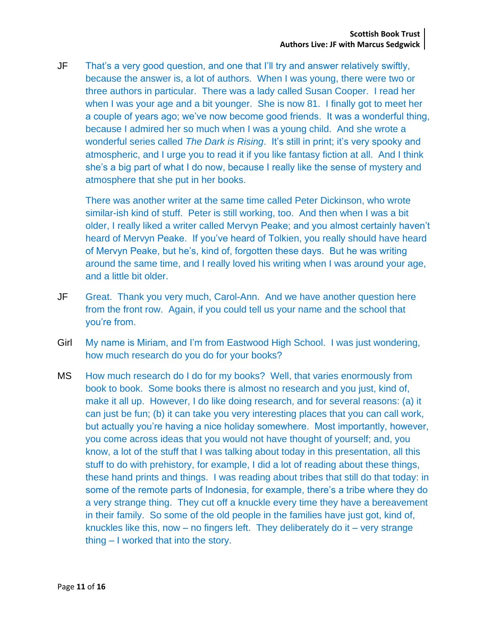JF That's a very good question, and one that I'll try and answer relatively swiftly, because the answer is, a lot of authors. When I was young, there were two or three authors in particular. There was a lady called Susan Cooper. I read her when I was your age and a bit younger. She is now 81. I finally got to meet her a couple of years ago; we've now become good friends. It was a wonderful thing, because I admired her so much when I was a young child. And she wrote a wonderful series called *The Dark is Rising*. It's still in print; it's very spooky and atmospheric, and I urge you to read it if you like fantasy fiction at all. And I think she's a big part of what I do now, because I really like the sense of mystery and atmosphere that she put in her books.

There was another writer at the same time called Peter Dickinson, who wrote similar-ish kind of stuff. Peter is still working, too. And then when I was a bit older, I really liked a writer called Mervyn Peake; and you almost certainly haven't heard of Mervyn Peake. If you've heard of Tolkien, you really should have heard of Mervyn Peake, but he's, kind of, forgotten these days. But he was writing around the same time, and I really loved his writing when I was around your age, and a little bit older.

- JF Great. Thank you very much, Carol-Ann. And we have another question here from the front row. Again, if you could tell us your name and the school that you're from.
- Girl My name is Miriam, and I'm from Eastwood High School. I was just wondering, how much research do you do for your books?
- MS How much research do I do for my books? Well, that varies enormously from book to book. Some books there is almost no research and you just, kind of, make it all up. However, I do like doing research, and for several reasons: (a) it can just be fun; (b) it can take you very interesting places that you can call work, but actually you're having a nice holiday somewhere. Most importantly, however, you come across ideas that you would not have thought of yourself; and, you know, a lot of the stuff that I was talking about today in this presentation, all this stuff to do with prehistory, for example, I did a lot of reading about these things, these hand prints and things. I was reading about tribes that still do that today: in some of the remote parts of Indonesia, for example, there's a tribe where they do a very strange thing. They cut off a knuckle every time they have a bereavement in their family. So some of the old people in the families have just got, kind of, knuckles like this, now – no fingers left. They deliberately do it – very strange thing – I worked that into the story.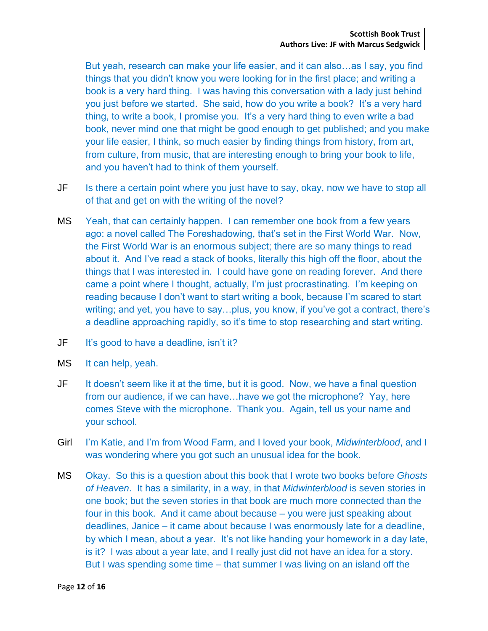But yeah, research can make your life easier, and it can also…as I say, you find things that you didn't know you were looking for in the first place; and writing a book is a very hard thing. I was having this conversation with a lady just behind you just before we started. She said, how do you write a book? It's a very hard thing, to write a book, I promise you. It's a very hard thing to even write a bad book, never mind one that might be good enough to get published; and you make your life easier, I think, so much easier by finding things from history, from art, from culture, from music, that are interesting enough to bring your book to life, and you haven't had to think of them yourself.

- JF Is there a certain point where you just have to say, okay, now we have to stop all of that and get on with the writing of the novel?
- MS Yeah, that can certainly happen. I can remember one book from a few years ago: a novel called The Foreshadowing, that's set in the First World War. Now, the First World War is an enormous subject; there are so many things to read about it. And I've read a stack of books, literally this high off the floor, about the things that I was interested in. I could have gone on reading forever. And there came a point where I thought, actually, I'm just procrastinating. I'm keeping on reading because I don't want to start writing a book, because I'm scared to start writing; and yet, you have to say…plus, you know, if you've got a contract, there's a deadline approaching rapidly, so it's time to stop researching and start writing.
- JF It's good to have a deadline, isn't it?
- MS It can help, yeah.
- JF It doesn't seem like it at the time, but it is good. Now, we have a final question from our audience, if we can have…have we got the microphone? Yay, here comes Steve with the microphone. Thank you. Again, tell us your name and your school.
- Girl I'm Katie, and I'm from Wood Farm, and I loved your book, *Midwinterblood*, and I was wondering where you got such an unusual idea for the book.
- MS Okay. So this is a question about this book that I wrote two books before *Ghosts of Heaven*. It has a similarity, in a way, in that *Midwinterblood* is seven stories in one book; but the seven stories in that book are much more connected than the four in this book. And it came about because – you were just speaking about deadlines, Janice – it came about because I was enormously late for a deadline, by which I mean, about a year. It's not like handing your homework in a day late, is it? I was about a year late, and I really just did not have an idea for a story. But I was spending some time – that summer I was living on an island off the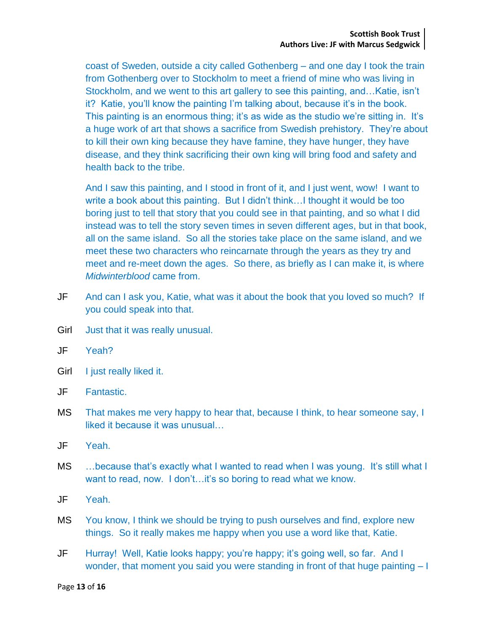coast of Sweden, outside a city called Gothenberg – and one day I took the train from Gothenberg over to Stockholm to meet a friend of mine who was living in Stockholm, and we went to this art gallery to see this painting, and…Katie, isn't it? Katie, you'll know the painting I'm talking about, because it's in the book. This painting is an enormous thing; it's as wide as the studio we're sitting in. It's a huge work of art that shows a sacrifice from Swedish prehistory. They're about to kill their own king because they have famine, they have hunger, they have disease, and they think sacrificing their own king will bring food and safety and health back to the tribe.

And I saw this painting, and I stood in front of it, and I just went, wow! I want to write a book about this painting. But I didn't think…I thought it would be too boring just to tell that story that you could see in that painting, and so what I did instead was to tell the story seven times in seven different ages, but in that book, all on the same island. So all the stories take place on the same island, and we meet these two characters who reincarnate through the years as they try and meet and re-meet down the ages. So there, as briefly as I can make it, is where *Midwinterblood* came from.

- JF And can I ask you, Katie, what was it about the book that you loved so much? If you could speak into that.
- Girl Just that it was really unusual.
- JF Yeah?
- Girl I just really liked it.
- JF Fantastic.
- MS That makes me very happy to hear that, because I think, to hear someone say, I liked it because it was unusual…
- JF Yeah.
- MS …because that's exactly what I wanted to read when I was young. It's still what I want to read, now. I don't...it's so boring to read what we know.
- JF Yeah.
- MS You know, I think we should be trying to push ourselves and find, explore new things. So it really makes me happy when you use a word like that, Katie.
- JF Hurray! Well, Katie looks happy; you're happy; it's going well, so far. And I wonder, that moment you said you were standing in front of that huge painting – I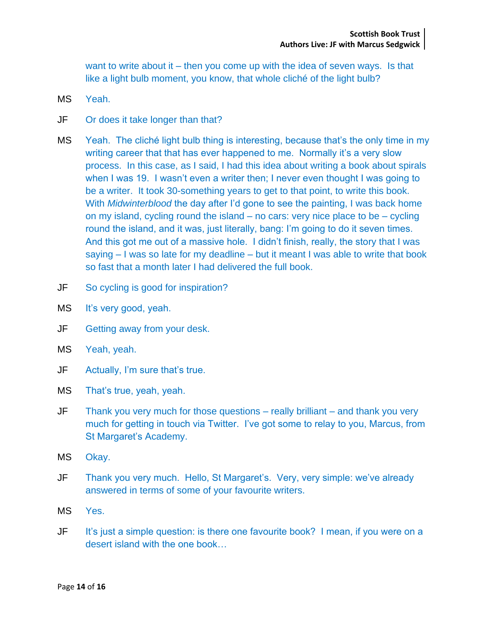want to write about it – then you come up with the idea of seven ways. Is that like a light bulb moment, you know, that whole cliché of the light bulb?

- MS Yeah.
- JF Or does it take longer than that?
- MS Yeah. The cliché light bulb thing is interesting, because that's the only time in my writing career that that has ever happened to me. Normally it's a very slow process. In this case, as I said, I had this idea about writing a book about spirals when I was 19. I wasn't even a writer then; I never even thought I was going to be a writer. It took 30-something years to get to that point, to write this book. With *Midwinterblood* the day after I'd gone to see the painting, I was back home on my island, cycling round the island – no cars: very nice place to be – cycling round the island, and it was, just literally, bang: I'm going to do it seven times. And this got me out of a massive hole. I didn't finish, really, the story that I was saying – I was so late for my deadline – but it meant I was able to write that book so fast that a month later I had delivered the full book.
- JF So cycling is good for inspiration?
- MS It's very good, yeah.
- JF Getting away from your desk.
- MS Yeah, yeah.
- JF Actually, I'm sure that's true.
- MS That's true, yeah, yeah.
- JF Thank you very much for those questions really brilliant and thank you very much for getting in touch via Twitter. I've got some to relay to you, Marcus, from St Margaret's Academy.
- MS Okay.
- JF Thank you very much. Hello, St Margaret's. Very, very simple: we've already answered in terms of some of your favourite writers.
- MS Yes.
- JF It's just a simple question: is there one favourite book? I mean, if you were on a desert island with the one book…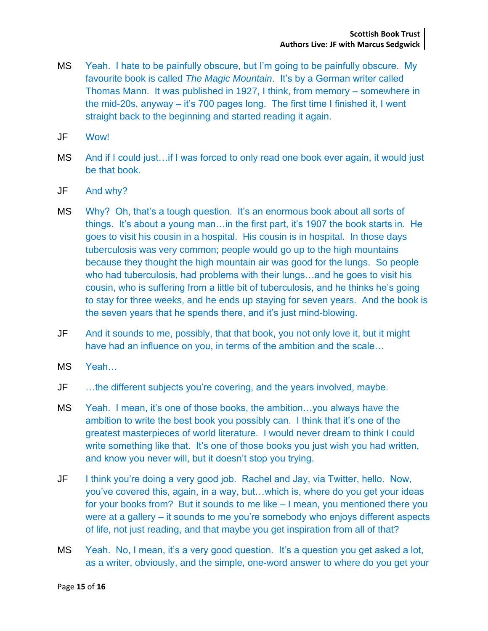- MS Yeah. I hate to be painfully obscure, but I'm going to be painfully obscure. My favourite book is called *The Magic Mountain*. It's by a German writer called Thomas Mann. It was published in 1927, I think, from memory – somewhere in the mid-20s, anyway – it's 700 pages long. The first time I finished it, I went straight back to the beginning and started reading it again.
- JF Wow!
- MS And if I could just…if I was forced to only read one book ever again, it would just be that book.
- JF And why?
- MS Why? Oh, that's a tough question. It's an enormous book about all sorts of things. It's about a young man…in the first part, it's 1907 the book starts in. He goes to visit his cousin in a hospital. His cousin is in hospital. In those days tuberculosis was very common; people would go up to the high mountains because they thought the high mountain air was good for the lungs. So people who had tuberculosis, had problems with their lungs…and he goes to visit his cousin, who is suffering from a little bit of tuberculosis, and he thinks he's going to stay for three weeks, and he ends up staying for seven years. And the book is the seven years that he spends there, and it's just mind-blowing.
- JF And it sounds to me, possibly, that that book, you not only love it, but it might have had an influence on you, in terms of the ambition and the scale…
- MS Yeah…
- JF …the different subjects you're covering, and the years involved, maybe.
- MS Yeah. I mean, it's one of those books, the ambition…you always have the ambition to write the best book you possibly can. I think that it's one of the greatest masterpieces of world literature. I would never dream to think I could write something like that. It's one of those books you just wish you had written, and know you never will, but it doesn't stop you trying.
- JF I think you're doing a very good job. Rachel and Jay, via Twitter, hello. Now, you've covered this, again, in a way, but…which is, where do you get your ideas for your books from? But it sounds to me like – I mean, you mentioned there you were at a gallery – it sounds to me you're somebody who enjoys different aspects of life, not just reading, and that maybe you get inspiration from all of that?
- MS Yeah. No, I mean, it's a very good question. It's a question you get asked a lot, as a writer, obviously, and the simple, one-word answer to where do you get your